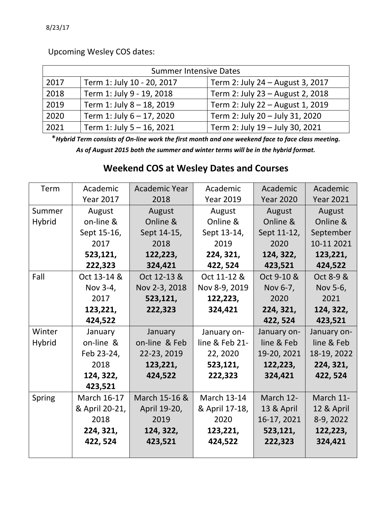Upcoming Wesley COS dates:

| <b>Summer Intensive Dates</b> |                            |                                  |  |  |  |  |
|-------------------------------|----------------------------|----------------------------------|--|--|--|--|
| 2017                          | Term 1: July 10 - 20, 2017 | Term 2: July 24 - August 3, 2017 |  |  |  |  |
| 2018                          | Term 1: July 9 - 19, 2018  | Term 2: July 23 - August 2, 2018 |  |  |  |  |
| 2019                          | Term 1: July 8 - 18, 2019  | Term 2: July 22 - August 1, 2019 |  |  |  |  |
| 2020                          | Term 1: July 6 - 17, 2020  | Term 2: July 20 - July 31, 2020  |  |  |  |  |
| 2021                          | Term 1: July 5 – 16, 2021  | Term 2: July 19 - July 30, 2021  |  |  |  |  |

\* Hybrid Term consists of On-line work the first month and one weekend face to face class meeting. *As of August 2015 both the summer and winter terms will be in the hybrid format.*

## **Weekend COS at Wesley Dates and Courses**

| Term          | Academic         | <b>Academic Year</b> | Academic         | Academic         | Academic         |  |
|---------------|------------------|----------------------|------------------|------------------|------------------|--|
|               | <b>Year 2017</b> | 2018                 | <b>Year 2019</b> | <b>Year 2020</b> | <b>Year 2021</b> |  |
| Summer        | August           | August               | August           | August           | August           |  |
| <b>Hybrid</b> | on-line &        | Online &             | Online &         | Online &         | Online &         |  |
|               | Sept 15-16,      | Sept 14-15,          | Sept 13-14,      | Sept 11-12,      | September        |  |
|               | 2017             | 2018                 | 2019             | 2020             | 10-11 2021       |  |
|               | 523,121,         | 122,223,             | 224, 321,        | 124, 322,        | 123,221,         |  |
|               | 222,323          | 324,421              | 422, 524         | 423,521          | 424,522          |  |
| Fall          | Oct 13-14 &      | Oct 12-13 &          | Oct 11-12 &      | Oct 9-10 &       | Oct 8-9 &        |  |
|               | Nov 3-4,         | Nov 2-3, 2018        | Nov 8-9, 2019    | Nov 6-7,         | Nov 5-6,         |  |
|               | 2017             | 523,121,             | 122,223,         | 2020             | 2021             |  |
|               | 123,221,         | 222,323              | 324,421          |                  | 124, 322,        |  |
|               | 424,522          |                      |                  | 422, 524         | 423,521          |  |
| Winter        | January          | January              | January on-      | January on-      | January on-      |  |
| <b>Hybrid</b> | on-line &        | on-line & Feb        | line & Feb 21-   | line & Feb       | line & Feb       |  |
|               | Feb 23-24,       | 22-23, 2019          | 22, 2020         | 19-20, 2021      | 18-19, 2022      |  |
|               | 2018             | 123,221,             | 523,121,         | 122,223,         | 224, 321,        |  |
|               | 124, 322,        | 424,522              | 222,323          | 324,421          | 422, 524         |  |
|               | 423,521          |                      |                  |                  |                  |  |
| <b>Spring</b> | March 16-17      | March 15-16 &        | March 13-14      | March 12-        | March 11-        |  |
|               | & April 20-21,   | April 19-20,         | & April 17-18,   | 13 & April       | 12 & April       |  |
|               | 2018             | 2019                 | 2020             | 16-17, 2021      | 8-9, 2022        |  |
|               | 224, 321,        | 124, 322,            | 123,221,         | 523,121,         | 122,223,         |  |
|               | 422, 524         | 423,521              | 424,522          | 222,323          | 324,421          |  |
|               |                  |                      |                  |                  |                  |  |